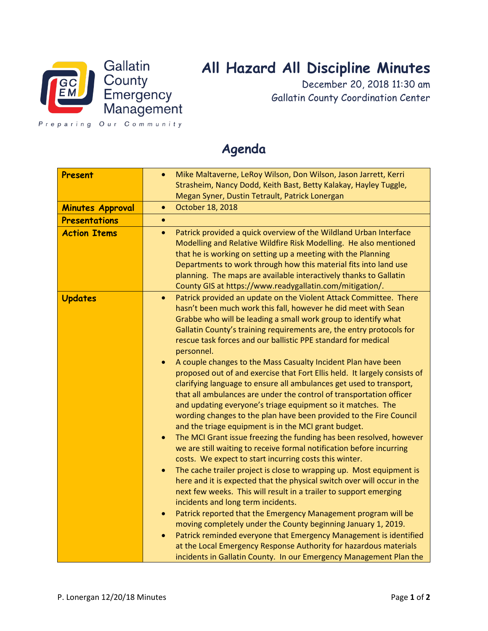

## **All Hazard All Discipline Minutes**

December 20, 2018 11:30 am Gallatin County Coordination Center

Preparing Our Community

## **Present** • **•** Mike Maltaverne, LeRoy Wilson, Don Wilson, Jason Jarrett, Kerri Strasheim, Nancy Dodd, Keith Bast, Betty Kalakay, Hayley Tuggle, Megan Syner, Dustin Tetrault, Patrick Lonergan **Minutes Approval** • October 18, 2018 **Presentations** • **Action Items •** Patrick provided a quick overview of the Wildland Urban Interface Modelling and Relative Wildfire Risk Modelling. He also mentioned that he is working on setting up a meeting with the Planning Departments to work through how this material fits into land use planning. The maps are available interactively thanks to Gallatin County GIS at https://www.readygallatin.com/mitigation/. **Updates • Patrick provided an update on the Violent Attack Committee. There** hasn't been much work this fall, however he did meet with Sean Grabbe who will be leading a small work group to identify what Gallatin County's training requirements are, the entry protocols for rescue task forces and our ballistic PPE standard for medical personnel. • A couple changes to the Mass Casualty Incident Plan have been proposed out of and exercise that Fort Ellis held. It largely consists of clarifying language to ensure all ambulances get used to transport, that all ambulances are under the control of transportation officer and updating everyone's triage equipment so it matches. The wording changes to the plan have been provided to the Fire Council and the triage equipment is in the MCI grant budget. • The MCI Grant issue freezing the funding has been resolved, however we are still waiting to receive formal notification before incurring costs. We expect to start incurring costs this winter. The cache trailer project is close to wrapping up. Most equipment is here and it is expected that the physical switch over will occur in the next few weeks. This will result in a trailer to support emerging incidents and long term incidents. • Patrick reported that the Emergency Management program will be moving completely under the County beginning January 1, 2019. Patrick reminded everyone that Emergency Management is identified at the Local Emergency Response Authority for hazardous materials incidents in Gallatin County. In our Emergency Management Plan the

## **Agenda**